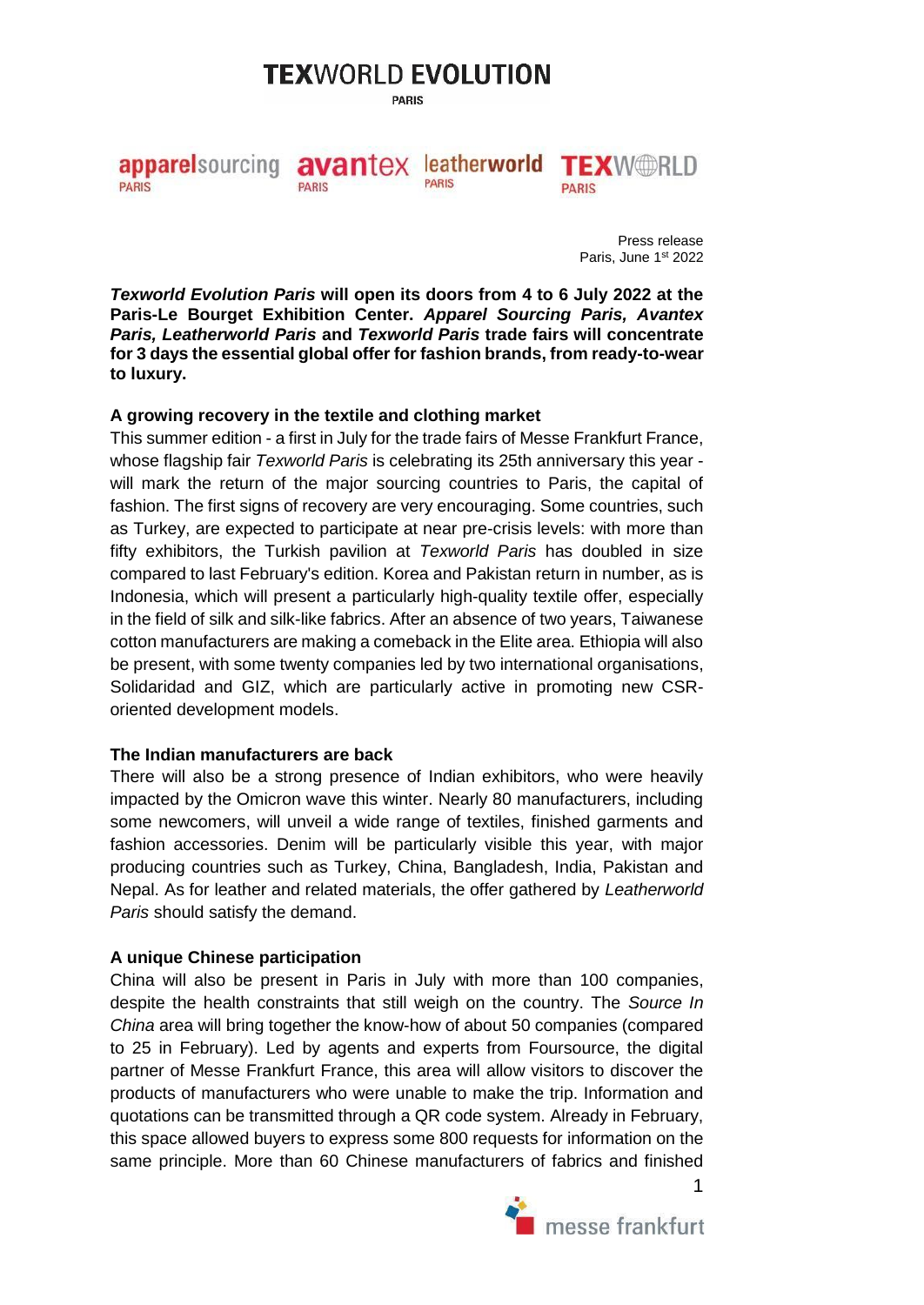# **TEXWORLD EVOLUTION**

**PARIS** 

avantex leatherworld TEXWORLD appare sourcing **PARIS** PARIS **PARIS PARIS** 

> Press release Paris, June 1st 2022

*Texworld Evolution Paris* **will open its doors from 4 to 6 July 2022 at the Paris-Le Bourget Exhibition Center.** *Apparel Sourcing Paris, Avantex Paris, Leatherworld Paris* **and** *Texworld Paris* **trade fairs will concentrate for 3 days the essential global offer for fashion brands, from ready-to-wear to luxury.**

# **A growing recovery in the textile and clothing market**

This summer edition - a first in July for the trade fairs of Messe Frankfurt France, whose flagship fair *Texworld Paris* is celebrating its 25th anniversary this year will mark the return of the major sourcing countries to Paris, the capital of fashion. The first signs of recovery are very encouraging. Some countries, such as Turkey, are expected to participate at near pre-crisis levels: with more than fifty exhibitors, the Turkish pavilion at *Texworld Paris* has doubled in size compared to last February's edition. Korea and Pakistan return in number, as is Indonesia, which will present a particularly high-quality textile offer, especially in the field of silk and silk-like fabrics. After an absence of two years, Taiwanese cotton manufacturers are making a comeback in the Elite area. Ethiopia will also be present, with some twenty companies led by two international organisations, Solidaridad and GIZ, which are particularly active in promoting new CSRoriented development models.

### **The Indian manufacturers are back**

There will also be a strong presence of Indian exhibitors, who were heavily impacted by the Omicron wave this winter. Nearly 80 manufacturers, including some newcomers, will unveil a wide range of textiles, finished garments and fashion accessories. Denim will be particularly visible this year, with major producing countries such as Turkey, China, Bangladesh, India, Pakistan and Nepal. As for leather and related materials, the offer gathered by *Leatherworld Paris* should satisfy the demand.

### **A unique Chinese participation**

China will also be present in Paris in July with more than 100 companies, despite the health constraints that still weigh on the country. The *Source In China* area will bring together the know-how of about 50 companies (compared to 25 in February). Led by agents and experts from Foursource, the digital partner of Messe Frankfurt France, this area will allow visitors to discover the products of manufacturers who were unable to make the trip. Information and quotations can be transmitted through a QR code system. Already in February, this space allowed buyers to express some 800 requests for information on the same principle. More than 60 Chinese manufacturers of fabrics and finished



1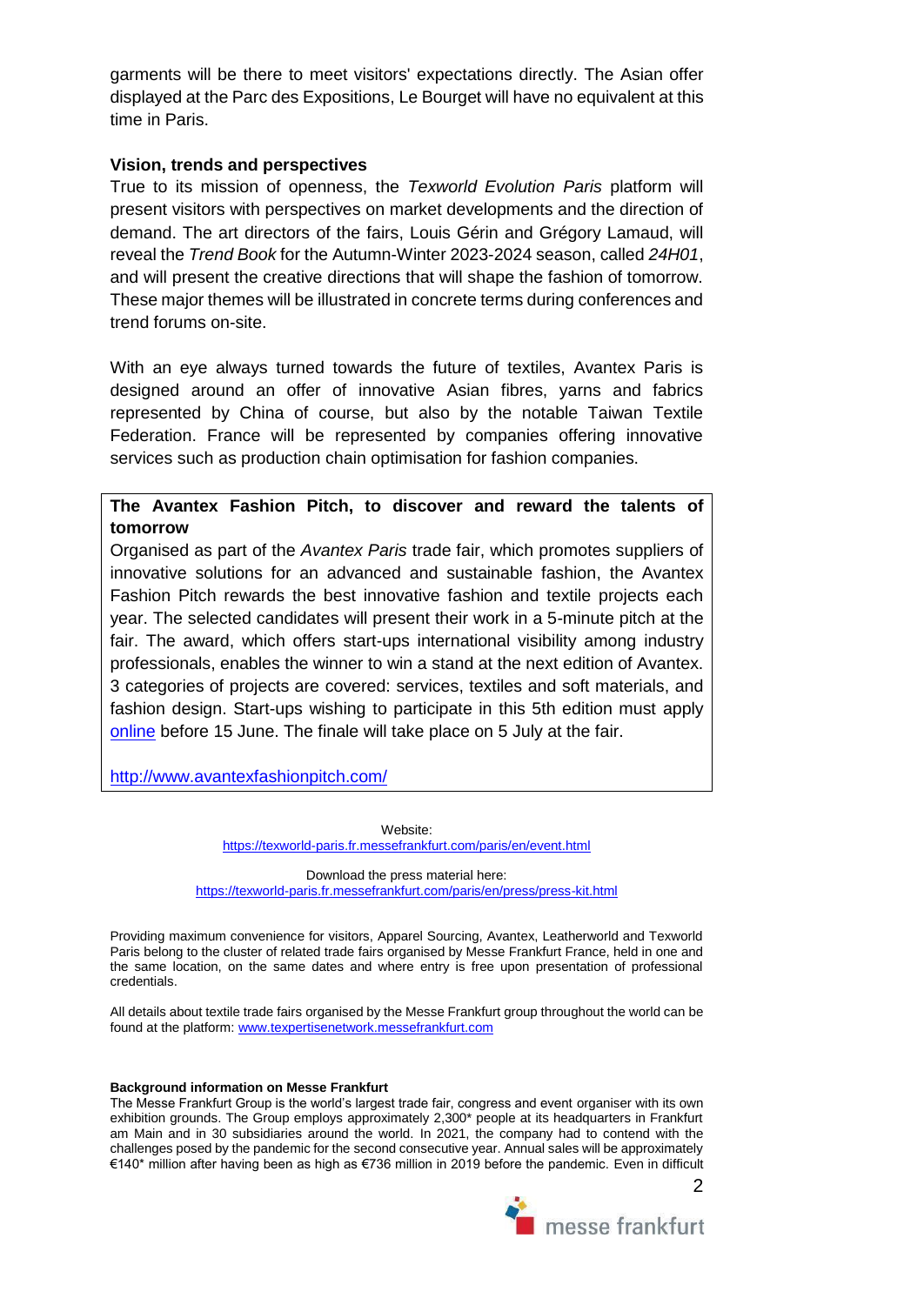garments will be there to meet visitors' expectations directly. The Asian offer displayed at the Parc des Expositions, Le Bourget will have no equivalent at this time in Paris.

#### **Vision, trends and perspectives**

True to its mission of openness, the *Texworld Evolution Paris* platform will present visitors with perspectives on market developments and the direction of demand. The art directors of the fairs, Louis Gérin and Grégory Lamaud, will reveal the *Trend Book* for the Autumn-Winter 2023-2024 season, called *24H01*, and will present the creative directions that will shape the fashion of tomorrow. These major themes will be illustrated in concrete terms during conferences and trend forums on-site.

With an eye always turned towards the future of textiles, Avantex Paris is designed around an offer of innovative Asian fibres, yarns and fabrics represented by China of course, but also by the notable Taiwan Textile Federation. France will be represented by companies offering innovative services such as production chain optimisation for fashion companies.

## **The Avantex Fashion Pitch, to discover and reward the talents of tomorrow**

Organised as part of the *Avantex Paris* trade fair, which promotes suppliers of innovative solutions for an advanced and sustainable fashion, the Avantex Fashion Pitch rewards the best innovative fashion and textile projects each year. The selected candidates will present their work in a 5-minute pitch at the fair. The award, which offers start-ups international visibility among industry professionals, enables the winner to win a stand at the next edition of Avantex. 3 categories of projects are covered: services, textiles and soft materials, and fashion design. Start-ups wishing to participate in this 5th edition must apply [online](https://docs.google.com/forms/d/e/1FAIpQLSeM0WcUNzPddzeYff_1EWlee_duywj73WAgLi7d_VMNwfhLNA/viewform) before 15 June. The finale will take place on 5 July at the fair.

http://www.avantexfashionpitch.com/

Website: <https://texworld-paris.fr.messefrankfurt.com/paris/en/event.html>

Download the press material here: <https://texworld-paris.fr.messefrankfurt.com/paris/en/press/press-kit.html>

Providing maximum convenience for visitors, Apparel Sourcing, Avantex, Leatherworld and Texworld Paris belong to the cluster of related trade fairs organised by Messe Frankfurt France, held in one and the same location, on the same dates and where entry is free upon presentation of professional credentials.

All details about textile trade fairs organised by the Messe Frankfurt group throughout the world can be found at the platform[: www.texpertisenetwork.messefrankfurt.com](http://www.texpertisenetwork.messefrankfurt.com/)

#### **Background information on Messe Frankfurt**

The Messe Frankfurt Group is the world's largest trade fair, congress and event organiser with its own exhibition grounds. The Group employs approximately 2,300\* people at its headquarters in Frankfurt am Main and in 30 subsidiaries around the world. In 2021, the company had to contend with the challenges posed by the pandemic for the second consecutive year. Annual sales will be approximately €140\* million after having been as high as €736 million in 2019 before the pandemic. Even in difficult